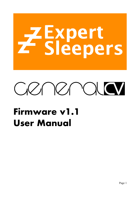# Z Expert<br>T Sleepers



# **Firmware v1.1 User Manual**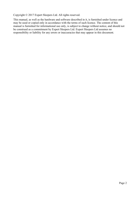Copyright © 2017 Expert Sleepers Ltd. All rights reserved.

This manual, as well as the hardware and software described in it, is furnished under licence and may be used or copied only in accordance with the terms of such licence. The content of this manual is furnished for informational use only, is subject to change without notice, and should not be construed as a commitment by Expert Sleepers Ltd. Expert Sleepers Ltd assumes no responsibility or liability for any errors or inaccuracies that may appear in this document.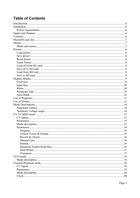# **Table of Contents**

| <b>Parameters</b> | -16 |
|-------------------|-----|
|                   |     |
|                   |     |
|                   |     |
|                   |     |
|                   |     |
|                   |     |
|                   |     |
|                   |     |
|                   |     |
|                   |     |
|                   |     |
|                   |     |
|                   |     |
|                   |     |
|                   |     |
|                   |     |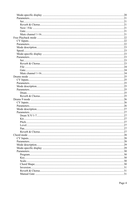|     | .27 |
|-----|-----|
|     |     |
|     |     |
| Pan |     |
|     |     |
|     |     |
|     |     |
|     |     |
|     | 29  |
|     |     |
|     |     |
|     |     |
|     |     |
|     |     |
|     |     |
|     |     |
|     |     |
|     |     |
|     |     |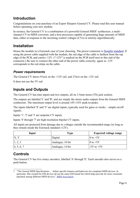# **Introduction**

Congratulations on your purchase of an Expert Sleepers General CV. Please read this user manual before operating your new module.

In essence, the General CV is a combination of a powerful General MIDI<sup>[1](#page-5-0)</sup> synthesizer, a multichannel CV-to-MIDI converter, and a host processor capable of generating huge amounts of MIDI data, either in response to the incoming control voltages (CVs) or entirely algorithmically.

# **Installation**

House the module in a Eurorack case of your choosing. The power connector is [Doepfer standard.](http://www.doepfer.de/a100_man/a100t_e.htm) If using the power cable supplied with the module, the red edge of the cable is furthest from the top edge of the PCB, and carries -12V. ("-12V" is marked on the PCB itself next to this end of the connector.) Be sure to connect the other end of the power cable correctly, again so -12V corresponds to the red stripe on the cable.

# *Power requirements*

The General CV draws 91mA on the +12V rail, and 27mA on the -12V rail.

It does not use the 5V rail.

# **Inputs and Outputs**

The General CV has nine inputs and two outputs, all on 3.5mm mono (TS) jack sockets.

The outputs are labelled 'L' and 'R', and are simply the stereo audio outputs from the General MIDI synthesizer. The maximum output level is around  $\pm 8V$  (16V peak-to-peak).

The inputs labelled 'X' and 'Y' are digital inputs, typically used for gates or clocks – simple on/off signals.

Inputs '1', '2' and '3' are unipolar CV inputs.

Inputs '4' through '7' are high-resolution bipolar CV inputs.

All inputs are protected from damage due to voltages outside the recommended range (so long as they remain inside the Eurorack standard  $\pm$ 12V).

| Input      | Type             | <b>Expected voltage range</b> |
|------------|------------------|-------------------------------|
|            | Digital          | 0 to $+5V$                    |
| 1, 2, 3    | Analogue, 10 bit | $\frac{1}{0}$ to $+5$ V       |
| 4, 5, 6, 7 | Analogue, 14 bit | $-5V$ to $+5V$                |

# **Controls**

The General CV has five rotary encoders, labelled 'A' through 'E'. Each encoder also serves as a push button.

<span id="page-5-0"></span><sup>1</sup> "The General MIDI Specifications … define specific features and behaviors for compliant MIDI devices. In particular, files created for GM devices all use the same GM Sound Set which helps provide for more consistant playback among different MIDI devices." *[MIDI Association](https://www.midi.org/specifications/category/gm-specifications)*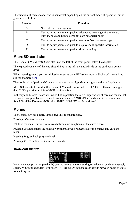The function of each encoder varies somewhat depending on the current mode of operation, but in general is as follows:

| <b>Encoder</b> | <b>Function</b>                                                                                                                  |
|----------------|----------------------------------------------------------------------------------------------------------------------------------|
| A              | Navigate the menu system                                                                                                         |
| B              | Turn to adjust parameter; push to advance to next page of parameters<br>Push in, hold and turn to scroll through parameter pages |
|                | Turn to adjust parameter; push to return to first parameter page                                                                 |
|                | Turn to adjust parameter; push to display mode-specific information                                                              |
| Е              | Turn to adjust parameter; push to show input key                                                                                 |

# **MicroSD card slot**

The General CV's MicroSD card slot is on the left of the front panel, below the display.

The exposed contacts of the card should face to the left; the angled side of the card itself points down.

When inserting a card you are advised to observe basic ESD (electrostatic discharge) precautions see for example [here.](http://www.computerhope.com/esd.htm)

The slot is of the "push-push" type - to remove the card, push it in slightly and it will spring out.

MicroSD cards to be used in the General CV should be formatted as FAT32. If the card is bigger than 32GB, partitioning it into 32GB partitions is advised.

In theory any MicroSD card will work, but in practice there is a huge variety of cards on the market and we cannot possible test them all. We recommend 32GB SDHC cards, and in particular have found "SanDisk Extreme 32GB microSDHC UHS-I U3" cards work well.

# **Menus**

The General CV has a fairly simple tree-like menu structure.

Pressing 'A' enters the menu.

While in the menu, turning 'A' moves between menu options on the current level.

Pressing 'A' again enters the next (lower) menu level, or accepts a setting change and exits the menu.

Pressing 'B' goes back (up) one level.

Pressing 'C', 'D' or 'E' exits the menu altogether.

### *Multi-edit menus*



In some menus (for example the EQ settings) more than one setting or value can be simultaneously edited, by turning encoders 'B' through 'E'. Turning 'A' in these cases scrolls between pages of up to four settings each.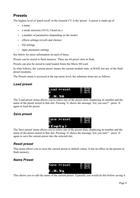# **Presets**

The highest level of 'patch recall' in the General CV is the 'preset'. A preset is made up of

- a name
- a mode selection (VCO, Chord etc.)
- a number of parameters (depending on the mode)
- effects settings (reverb and chorus)
- EQ settings
- input attenuator settings

See below for more information on each of these.

Presets can be stored to flash memory. There are 64 preset slots in flash.

Presets can also be stored to (and loaded from) the Micro SD card.

In what follows, the 'current preset' means the current module state, in RAM, not any of the flash preset locations.

The Presets menu is accessed at the top menu level; the submenu items are as follows.

# *Load preset*



The 'Load preset' menu allows you to select one of the preset slots, displaying its number and the name of the preset stored in that slot. Pressing 'A' shows the message 'Are you sure?' - press 'A' again to load the preset.

# *Save preset*



The 'Save preset' menu allows you to select one of the preset slots, displaying its number and the name of the preset stored in that slot. Pressing 'A' shows the message 'Are you sure?' - press 'A' again to save the current preset into the selected slot.

# *Reset preset*

This menu allows you to reset the current preset to default values. It has no effect on the presets in flash memory.

# *Name Preset*



This allows you to edit the name of the current preset. Typically you would do this before saving it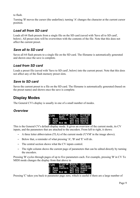to flash.

Turning 'B' moves the cursor (the underline); turning 'A' changes the character at the current cursor position.

# *Load all from SD card*

Loads all 64 flash presets from a single file on the SD card (saved with 'Save all to SD card', below). All preset slots will be overwritten with the contents of the file. Note that this does not affect the current preset.

# *Save all to SD card*

Saves all 64 flash presets to a single file on the SD card. The filename is automatically generated and shown once the save is complete.

# *Load from SD card*

Loads a preset file (saved with 'Save to SD card', below) into the current preset. Note that this does not affect any of the flash memory preset slots.

# *Save to SD card*

Saves the current preset to a file on the SD card. The filename is automatically generated (based on the preset name) and shown once the save is complete.

# **Display Modes**

The General CV's display is usually in one of a small number of modes.

# *Overview*

| ICVM. |  | -Program Reverb - Program<br><b>Gate Pitch Voices</b>                   |  |
|-------|--|-------------------------------------------------------------------------|--|
|       |  | A: Menu Sustain Vel'ity Detune                                          |  |
|       |  |                                                                         |  |
|       |  | B: Page <sup>-----</sup> unt Key Reverb<br>E: Key Hod Wh unt Sc1 Chorus |  |

This is the General CV's default display mode. It gives an overview of the current mode, its CV inputs, and the parameters that are attached to the encoders. From left to right, it shows:

- A three letter abbreviation (TLA) of the current mode ('CVM' in the image above).
- Below that, a reminder of what pressing 'A', 'B' and 'E' will do.
- The central section shows what the CV inputs control.
- The right column shows the current page of parameters that can be edited directly by turning the encoders.

Pressing 'B' cycles through pages of up to five parameters each. For example, pressing 'B' in CV To MIDI mode changes the display from that above to

|  | CVM Program-Reverb Gate<br>CVM Gate Pitch Sustain                                            |
|--|----------------------------------------------------------------------------------------------|
|  | A: Menu Sustain Velfity Quantize<br>B: Page – – Ont Rey Scale<br>E: Rey Mod Wh – Ont Sci Rey |
|  |                                                                                              |
|  |                                                                                              |

Pressing 'C' takes you back to parameter page zero, which is useful if there are a large number of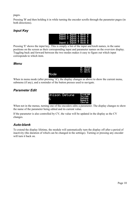pages.

Pressing 'B' and then holding it in while turning the encoder scrolls through the parameter pages (in both directions).

# *Input Key*

|  |  | Input 1 Input 3 Knob A<br>Input X Input 4 Knob B  |  |
|--|--|---------------------------------------------------|--|
|  |  | Input Y Input & Knob C                            |  |
|  |  | Input 2 Input 6 Knob D'<br>Input 2 Input 7 Knob E |  |

Pressing 'E' shows the input key. This is simply a list of the input and knob names, in the same positions on the screen as their corresponding input and parameter names on the overview display. Toggling back and forward between the two modes makes it easy to figure out which input corresponds to which item.

### *Menu*



When in menu mode (after pressing 'A'), the display changes as above to show the current menu, submenu (if any), and a reminder of the button presses used to navigate.

# *Parameter Edit*



When not in the menus, turning one of the encoders edits a parameter. The display changes to show the name of the parameter being edited and its current value.

If the parameter is also controlled by CV, the value will be updated in the display as the CV changes.

# *Auto-blank*

To extend the display lifetime, the module will automatically turn the display off after a period of inactivity (the duration of which can be changed in the settings). Turning or pressing any encoder will turn it back on.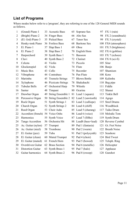# **List of Programs**

Where modes below refer to a 'program', they are referring to one of the 128 General MIDI sounds as follows.

| $\mathbf 1$ | (Grand) Piano 1          | 33 | <b>Acoustic Bass</b>   | 65 | Soprano Sax          | 97  | FX 1 (rain)           |
|-------------|--------------------------|----|------------------------|----|----------------------|-----|-----------------------|
| 2           | (Bright) Piano 2         | 34 | <b>Finger Bass</b>     | 66 | Alto Sax             | 98  | FX 2 (soundtrack)     |
| 3           | (El. Grd) Piano 3        | 35 | Picked Bass            | 67 | Tenor Sax            | 99  | FX 3 (crystal)        |
| 4           | Honky-tonk Piano         | 36 | <b>Fretless Bass</b>   | 68 | <b>Baritone Sax</b>  |     | 100 FX4 (atmosphere)  |
| 5           | El. Piano 1              | 37 | Slap Bass 1            | 69 | Oboe                 |     | 101 FX 5 (brightness) |
| 6           | El. Piano 2              | 38 | Slap Bass 2            | 70 | English Horn         |     | 102 FX $6$ (goblins)  |
| 7           | Harpsichord              | 39 | Synth Bass 1           | 71 | Bassoon              |     | 103 FX 7 (echoes)     |
| 8           | Clavi                    | 40 | Synth Bass 2           | 72 | Clarinet             |     | 104 FX 8 (sci-fi)     |
| 9           | Celesta                  | 41 | Violin                 | 73 | Piccolo              |     | 105 Sitar             |
| 10          | Glockenspiel             | 42 | Viola                  | 74 | Flute                |     | 106 Banjo             |
| 11          | Music Box                | 43 | Cello                  | 75 | Recorder             |     | 107 Shamisen          |
| 12          | Vibraphone               |    | 44 Contrabass          | 76 | Pan Flute            |     | 108 Koto              |
| 13          | Marimba                  | 45 | <b>Tremolo Strings</b> | 77 | <b>Blown Bottle</b>  |     | 109 Kalimba           |
| 14          | Xylophone                | 46 | Pizzicato Strings      | 78 | Shakuhachi           |     | 110 Bag pipe          |
| 15          | <b>Tubular Bells</b>     | 47 | Orchestral Harp        | 79 | Whistle              |     | 111 Fiddle            |
| 16          | Santur                   | 48 | Timpani                | 80 | Ocarina              |     | 112 Shanai            |
| 17          | Drawbar Organ            | 49 | String Ensemble 1      |    | 81 Lead 1 (square)   |     | 113 Tinkle Bell       |
| 18          | Percussive Organ         | 50 | String Ensemble 2      |    | 82 Lead 2 (sawtooth) |     | 114 Agogo             |
| 19          | Rock Organ               | 51 | Synth Strings 1        |    | 83 Lead 3 (calliope) |     | 115 Steel Drums       |
| 20          | Church Organ             | 52 | <b>Synth Strings 2</b> |    | 84 Lead 4 (chiff)    |     | 116 Woodblock         |
| 21          | Reed Organ               | 53 | Choir Aahs             |    | 85 Lead 5 (charang)  | 117 | Taiko Drum            |
| 22          | Accordion (french)       |    | 54 Voice Oohs          |    | 86 Lead 6 (voice)    |     | 118 Melodic Tom       |
| 23          | Harmonica                | 55 | <b>Synth Voice</b>     |    | 87 Lead 7 (fifths)   |     | 119 Synth Drum        |
| 24          | Tango Accordion          | 56 | Orchestra Hit          |    | 88 Lead8 (bass+lead) |     | 120 Reverse Cymbal    |
| 25          | Ac. Guitar (nylon)       | 57 | Trumpet                | 89 | Pad 1 (fantasia)     |     | 121 Gt. Fret Noise    |
| 26          | Ac. Guitar (steel)       | 58 | Trombone               |    | 90 Pad 2 (warm)      |     | 122 Breath Noise      |
| 27          | El. Guitar (jazz)        | 59 | Tuba                   |    | 91 Pad 3 (polysynth) |     | 123 Seashore          |
| 28          | El. Guitar (clean)       | 60 | Muted Trumpet          |    | 92 Pad 4 (choir)     |     | 124 Bird Tweet        |
| 29          | El. Guitar (muted)       | 61 | French Horn            | 93 | Pad 5 (bowed)        |     | 125 Teleph. Ring      |
| 30          | Overdriven Guitar        | 62 | <b>Brass Section</b>   | 94 | Pad 6 (metallic)     |     | 126 Helicopter        |
| 31          | <b>Distortion Guitar</b> | 63 | Synth Brass 1          | 95 | Pad 7 (halo)         |     | 127 Applause          |
| 32          | Guitar harmonics         | 64 | Synth Brass 2          |    | 96 Pad 8 (sweep)     |     | 128 Gunshot           |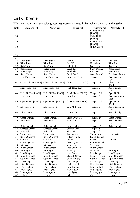# **List of Drums**

EXC1 etc. indicate an exclusive group (e.g. open and closed hi-hat, which cannot sound together).

| <b>Note</b>           | <b>Standard Kit</b>         | <b>Power Kit</b>            | <b>Brush Kit</b>            | Orchestra Kit               | <b>Alternate Kit</b>   |
|-----------------------|-----------------------------|-----------------------------|-----------------------------|-----------------------------|------------------------|
| 27                    |                             |                             |                             | Closed Hi Hat               |                        |
|                       |                             |                             |                             | [EXC1]                      |                        |
| 28                    |                             |                             |                             | Pedal Hi-Hat                |                        |
|                       |                             |                             |                             | [EXC1]                      |                        |
| 29                    |                             |                             |                             | Open Hi Hat                 |                        |
|                       |                             |                             |                             | [EXC1]                      |                        |
| 30                    |                             |                             |                             | Ride Cymbal                 |                        |
| 31                    |                             |                             |                             |                             |                        |
| $\overline{32}$       |                             |                             |                             |                             |                        |
| $\overline{33}$       |                             |                             |                             |                             |                        |
| $\overline{34}$       |                             |                             |                             |                             |                        |
| $\overline{35}$       | Kick drum2                  | Kick drum2                  | Jazz BD <sub>2</sub>        | Kick drum2                  | Kick drum              |
| 36                    | Kick drum1                  | Kick drum1                  | Jazz BD 1                   | Kick drum1                  | Kick drum              |
| 37                    | Side Stick                  | Side Stick                  | Side Stick                  | Side Stick                  | Rim Shot               |
| $\overline{38}$       | Snare Drum 1                | Gated Snare                 | <b>Brush Tap</b>            | Snare Drum 2                | Snare Drum             |
| 39                    | Hand Clap                   | Hand Clap                   | <b>Brush Slap</b>           | Castanets                   | Hand Clap              |
| 40                    | Snare Drum 2                | Snare Drum 2                | <b>Brush Swirl</b>          | Snare Drum 2                | Elec Snare Drum        |
| 41                    | Low Floor Tom               | Low Floor Tom               | Low Floor Tom               | Timpani F                   | Acoustic Low           |
|                       |                             |                             |                             |                             | Tom                    |
| 42                    | Closed Hi Hat [EXC1]        | Closed Hi Hat [EXC1]        | Closed Hi Hat [EXC1]        | Timpani F#                  | Closed Hi-Hat          |
|                       |                             |                             |                             |                             | [Exc1]                 |
| 43                    | <b>High Floor Tom</b>       | High Floor Tom              | High Floor Tom              | Timpani G                   | <b>Acoustic Low</b>    |
|                       |                             |                             |                             |                             | Tom                    |
| 44                    | Pedal Hi-Hat [EXC1]         | Pedal Hi-Hat [EXC1]         | Pedal Hi-Hat [EXC1]         | Timpani G#                  | Open Hi-Hat 2          |
| $\overline{45}$       | Low Tom                     | Low Tom                     | Low Tom                     | Timpani A                   | <b>Acoustic Middle</b> |
|                       |                             |                             |                             |                             | Tom                    |
| 46                    | Open Hi-Hat [EXC1]          | Open Hi-Hat [EXC1]          | Open Hi-Hat [EXC1]          | Timpani A#                  | Open Hi-Hat 1          |
|                       |                             |                             |                             |                             | [Exc1]                 |
| 47                    | Low-Mid Tom                 | Low-Mid Tom                 | Low-Mid Tom                 | Timpani B                   | <b>Acoustic Middle</b> |
|                       |                             |                             |                             |                             | Tom                    |
| 48                    | Hi Mid Tom                  | Hi Mid Tom                  | Hi Mid Tom                  | Timpani c                   | <b>Acoustic High</b>   |
|                       |                             |                             |                             |                             | Tom                    |
| 49                    | Crash Cymbal 1              | Crash Cymbal 1              | Crash Cymbal 1              | Timpani c#                  | Crash Cymbal           |
| 50                    | High Tom                    | High Tom                    | <b>High Tom</b>             | Timpani d                   | <b>Acoustic High</b>   |
|                       |                             |                             |                             |                             | Tom                    |
| 51<br>$\overline{52}$ | Ride Cymbal 1               | Ride Cymbal 1               | Ride Cymbal 1               | Timpani d#                  | Ride Cymbal            |
| $\overline{53}$       | Chinese Cymbal<br>Ride Bell | Chinese Cymbal<br>Ride Bell | Chinese Cymbal<br>Ride Bell | Timpani e<br>Timpani f      |                        |
| 54                    |                             |                             |                             |                             |                        |
| 55                    | Tambourine                  | Tambourine                  | Tambourine                  | Tambourine<br>Splash Cymbal | Tambourine             |
| 56                    | Splash Cymbal<br>Cowbell    | Splash Cymbal<br>Cowbell    | Splash Cymbal<br>Cowbell    | Cowbell                     | Cowbell                |
| 57                    | Crash Cymbal 2              | Crash Cymbal 2              | Crash Cymbal 2              | Crash Cymbal 2              |                        |
| 58                    | Vibraslap                   | Vibraslap                   | Vibraslap                   | Vibraslap                   |                        |
| 59                    | Ride Cymbal 2               | Ride Cymbal 2               | Ride Cymbal 2               | Ride Cymbal 2               |                        |
| 60                    | Hi Bongo                    | Hi Bongo                    | Hi Bongo                    | Hi Bongo                    | Hi Bongo               |
| 61                    | Low Bongo                   | Low Bongo                   | Low Bongo                   | Low Bongo                   | Low Bongo              |
| 62                    | Mute Hi Conga               | Mute Hi Conga               | Mute Hi Conga               | Mute Hi Conga               | Mute Hi Conga          |
| 63                    | Open Hi Conga               | Open Hi Conga               | Open Hi Conga               | Open Hi Conga               | Open Hi Conga          |
| 64                    | Low Conga                   | Low Conga                   | Low Conga                   | Low Conga                   | Low Conga              |
| 65                    | High Timbale                | <b>High Timbale</b>         | <b>High Timbale</b>         | High Timbale                | High Timbale           |
| 66                    | Low Timbale                 | Low Timbale                 | Low Timbale                 | Low Timbale                 | Low Timbale            |
| 67                    | High Agogo                  | High Agogo                  | High Agogo                  | High Agogo                  | High Agogo             |
| 68                    | Low Agogo                   | Low Agogo                   | Low Agogo                   | Low Agogo                   | Low Agogo              |
| 69                    | Cabasa                      | Cabasa                      | Cabasa                      | Cabasa                      | Cabasa                 |
|                       |                             |                             |                             |                             |                        |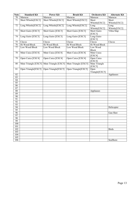| <b>Note</b>      | <b>Standard Kit</b>  | <b>Power Kit</b>     | <b>Brush Kit</b>     | Orchestra Kit        | <b>Alternate Kit</b> |
|------------------|----------------------|----------------------|----------------------|----------------------|----------------------|
| 70               | Maracas              | Maracas              | Maracas              | Maracas              | Maracas              |
| 71               | Short Whistle[EXC2]  | Short Whistle[EXC2]  | Short Whistle[EXC2]  | Short                | Short                |
|                  |                      |                      |                      | Whistle[EXC2]        | Whistle[EXC2]        |
| $72\,$           | Long Whistle[EXC2]   | Long Whistle[EXC2]   | Long Whistle[EXC2]   | Long                 | Long                 |
|                  |                      |                      |                      | Whistle[EXC2]        | Whistle[EXC2]        |
| 73               | Short Guiro [EXC3]   | Short Guiro [EXC3]   | Short Guiro [EXC3]   | Short Guiro          | Vibra Slap           |
|                  |                      |                      |                      | [EXC3]               |                      |
| $\overline{74}$  | Long Guiro [EXC3]    | Long Guiro [EXC3]    | Long Guiro [EXC3]    | Long Guiro           |                      |
|                  |                      |                      |                      | [EXC3]               |                      |
| 75               | Claves               | Claves               | Claves               | Claves               | Claves               |
| $\overline{76}$  | Hi Wood Block        | Hi Wood Block        | Hi Wood Block        | Hi Wood Block        |                      |
| 77               | Low Wood Block       | Low Wood Block       | Low Wood Block       | Low Wood             |                      |
|                  |                      |                      |                      | <b>Block</b>         |                      |
| 78               | Mute Cuica [EXC4]    | Mute Cuica [EXC4]    | Mute Cuica [EXC4]    | Mute Cuica           |                      |
| 79               | Open Cuica [EXC4]    |                      | Open Cuica [EXC4]    | [EXC4]<br>Open Cuica |                      |
|                  |                      | Open Cuica [EXC4]    |                      | [EXC4]               |                      |
| 80               | Mute Triangle [EXC5] | Mute Triangle [EXC5] | Mute Triangle [EXC5] | Mute Triangle        |                      |
|                  |                      |                      |                      | [EXC5]               |                      |
| 81               | Open Triangle[EXC5]  | Open Triangle[EXC5]  | Open Triangle[EXC5]  | Open                 |                      |
|                  |                      |                      |                      | Triangle[EXC5]       |                      |
| 82               |                      |                      |                      |                      | Applauses            |
| 83               |                      |                      |                      |                      |                      |
| 84               |                      |                      |                      |                      |                      |
| 85               |                      |                      |                      |                      |                      |
| 86               |                      |                      |                      |                      |                      |
| 87               |                      |                      |                      |                      |                      |
| 88               |                      |                      |                      | Applauses            |                      |
| 89               |                      |                      |                      |                      |                      |
| 90               |                      |                      |                      |                      |                      |
| $\overline{91}$  |                      |                      |                      |                      |                      |
| $\overline{92}$  |                      |                      |                      |                      |                      |
| $\overline{93}$  |                      |                      |                      |                      |                      |
| $\overline{94}$  |                      |                      |                      |                      | Helicopter           |
| $\overline{95}$  |                      |                      |                      |                      |                      |
| $\overline{96}$  |                      |                      |                      |                      | Gun Shot             |
| $\overline{97}$  |                      |                      |                      |                      |                      |
| 98               |                      |                      |                      |                      |                      |
| 99               |                      |                      |                      |                      |                      |
| 100<br>101       |                      |                      |                      |                      |                      |
| 102              |                      |                      |                      |                      | <b>Birds</b>         |
| $\overline{103}$ |                      |                      |                      |                      |                      |
| 104              |                      |                      |                      |                      |                      |
| $\overline{105}$ |                      |                      |                      |                      |                      |
| 106              |                      |                      |                      |                      | SeaShore             |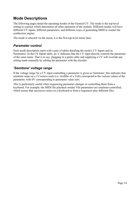# **Mode Descriptions**

The following pages detail the operating modes of the General CV. The mode is the top-level setting in a preset which determines all other operation of the module. Different modes will have different CV inputs, different parameters, and different ways of generating MIDI to control the synthesizer engine.

The mode is selected via the menu; it is the first top-level menu item.

### *Parameter control*

Each mode description starts with a pair of tables detailing the mode's CV Inputs and its Parameters. In the CV Inputs table, an 'x' indicates that the CV input directly controls the parameter of the same name. That is to say, plugging in a patch cable and supplying a CV will override any setting made manually by editing the parameter with the encoder.

# *'Semitone' voltage range*

If the voltage range for a CV input controlling a parameter is given as 'Semitone', this indicates that semitone steps on a 1V/octave scale (i.e. twelfths of a Volt) correspond to the various values of the parameter, with 0V corresponding to parameter value zero.

This is particularly useful when sequencing parameter changes or controlling them from a keyboard. For example, the MIDI file playback modes' File parameters are semitone-controlled, which means that successive notes on a keyboard or from a sequencer play different files.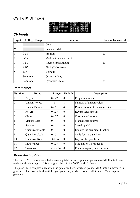# **CV To MIDI mode**

| CVM Program-Reverb Program<br>CVM Gate Pitch Voices                       |                |  |
|---------------------------------------------------------------------------|----------------|--|
| A: Menu Sustain Vel'ity Detune                                            |                |  |
| B: Page <b>The Contract Reverb</b><br><u>B: Rey Mod Wh Ant Sc1 Chorus</u> | unt Key Reverb |  |
|                                                                           |                |  |

# *CV Inputs*

| Input          | <b>Voltage Range</b> | <b>Function</b>        | <b>Parameter control</b> |
|----------------|----------------------|------------------------|--------------------------|
| X              |                      | Gate                   |                          |
| Y              |                      | Sustain pedal          | $\mathbf{X}$             |
|                | $0-5V$               | Program                | $\mathbf{X}$             |
| $\overline{2}$ | $0-5V$               | Modulation wheel depth | X                        |
| 3              | $0-5V$               | Reverb send amount     | $\mathbf{X}$             |
| $\overline{4}$ | $\pm 5V$             | Pitch (1V/octave)      |                          |
| 5              | $\pm 5V$             | Velocity               |                          |
| 6              | Semitone             | Quantizer Key          | $\mathbf{X}$             |
| 7              | Semitone             | Quantizer Scale        | X                        |

### *Parameters*

| <b>Number</b>  | <b>Name</b>            | Range      | <b>Default</b> | <b>Description</b>              |
|----------------|------------------------|------------|----------------|---------------------------------|
|                | Program                | $0-127$    | $\theta$       | Program number                  |
| $\overline{2}$ | <b>Unison Voices</b>   | $1 - 8$    | $\mathbf{1}$   | Number of unison voices         |
| 3              | <b>Unison Detune</b>   | $0 - 16$   | $\overline{4}$ | Detune amount for unison voices |
| $\overline{4}$ | Reverb                 | $0-127$    | $\theta$       | Reverb send amount              |
| 5              | Chorus                 | $0 - 127$  | $\theta$       | Chorus send amount              |
| 6              | <b>Manual Gate</b>     | $0-1$      | $\overline{0}$ | Manual gate control             |
| 7              | Sustain                | $0-1$      | $\theta$       | Sustain pedal                   |
| 8              | Quantizer Enable       | $0-1$      | $\theta$       | Enables the quantizer function  |
| 9              | <b>Quantizer Scale</b> | $0 - 15$   | $\theta$       | Scale for the quantizer         |
| 10             | Quantizer Key          | $-60 - 60$ | $\theta$       | Key for the quantizer           |
| 11             | Mod Wheel              | $0 - 127$  | $\theta$       | Modulation wheel depth          |
| 12             | Transpose              | $-36 - 36$ | $\theta$       | Pitch transpose, in semitones   |

# *Mode description*

The CV To MIDI mode essentially takes a pitch CV and a gate and generates a MIDI note to send to the synthesizer engine. It is strongly related to the VCO mode (below).

The pitch CV is sampled only when the gate goes high, at which point a MIDI note on message is generated. The note is held until the gate goes low, at which point a MIDI note off message is generated.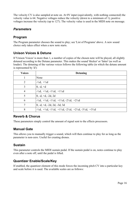The velocity CV is also sampled at note on. At 0V input (equivalently, with nothing connected) the velocity value is 64. Negative voltages reduce the velocity (down to a minimum of 1); positive voltages increase the velocity (up to 127). The velocity value is used in the MIDI note on message.

# *Parameters*

# **Program**

The Program parameter chooses the sound to play; see 'List of Programs' above. A new sound choice only takes effect when a new note starts.

# **Unison Voices & Detune**

If 'Unison Voices' is more than 1, a number of copies of the chosen note will be played, all slightly detuned according to the Detune parameter. This makes the sound 'thicker' or 'fatter' (as well as louder). The detuning of the various voices follows the following table (in which the detune amount is represented by 'd'):

| <b>Voices</b>  | <b>Detuning</b>                                                                                                                               |
|----------------|-----------------------------------------------------------------------------------------------------------------------------------------------|
|                | None                                                                                                                                          |
| $\overline{2}$ | $-\frac{1}{2}d$ , $+\frac{1}{2}d$                                                                                                             |
| 3              | $0, -d, +d$                                                                                                                                   |
| $\overline{4}$ | $-1/2d$ , $+1/2d$ , $-1/2d$ , $+1/2d$                                                                                                         |
| 5              | $\vert 0, -d, +d, -2d, 2d \vert$                                                                                                              |
| 6              | $-1/2d$ , $+1/2d$ , $-1/2d$ , $+1/2d$ , $-2/2d$ , $+2/2d$                                                                                     |
|                | $0, -d, +d, -2d, 2d, -3d, 3d$                                                                                                                 |
| 8              | $-\frac{1}{2}d$ , $+\frac{1}{2}d$ , $-\frac{1}{2}d$ , $+\frac{1}{2}d$ , $-\frac{2}{2}d$ , $+\frac{2}{2}d$ , $-\frac{3}{2}d$ , $+\frac{3}{2}d$ |

# **Reverb & Chorus**

These parameters simply control the amount of signal sent to the effects processors.

# **Manual Gate**

This allows you to manually trigger a sound, which will then continue to play for as long as the parameter is non-zero. Useful for creating drones.

# **Sustain**

This parameter controls the MIDI sustain pedal. If the sustain pedal is on, notes continue to play even after a note off, until the pedal is lifted.

# **Quantizer Enable/Scale/Key**

If enabled, the quantizer element of this mode forces the incoming pitch CV into a particular key and scale before it is used. The available scales are as follows: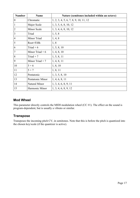| <b>Number</b>    | <b>Name</b>      | Nature (semitones included within an octave) |
|------------------|------------------|----------------------------------------------|
| $\boldsymbol{0}$ | Chromatic        | 1, 2, 3, 4, 5, 6, 7, 8, 9, 10, 11, 12        |
| $\mathbf{1}$     | Major Scale      | 1, 3, 5, 6, 8, 10, 12                        |
| $\overline{2}$   | Minor Scale      | 1, 3, 4, 6, 8, 10, 12                        |
| 3                | Triad            | 1, 5, 8                                      |
| $\overline{4}$   | Minor Triad      | 1, 4, 8                                      |
| 5                | Root+Fifth       | 1,8                                          |
| 6                | Triad $+6$       | 1, 5, 8, 10                                  |
| $\overline{7}$   | Minor Triad $+6$ | 1, 4, 8, 10                                  |
| 8                | Triad $+7$       | 1, 5, 8, 11                                  |
| 9                | Minor Triad $+7$ | 1, 4, 8, 11                                  |
| 10               | $5 + 6$          | 1, 8, 10                                     |
| 11               | $5 + 7$          | 1, 8, 11                                     |
| 12               | Pentatonic       | 1, 3, 5, 8, 10                               |
| 13               | Pentatonic Minor | 1, 4, 6, 8, 11                               |
| 14               | Natural Minor    | 1, 3, 4, 6, 8, 9, 11                         |
| 15               | Harmonic Minor   | 1, 3, 4, 6, 8, 9, 12                         |

# **Mod Wheel**

This parameter directly controls the MIDI modulation wheel (CC #1). The effect on the sound is program-dependent, but is usually a vibrato or similar.

# **Transpose**

Transposes the incoming pitch CV, in semitones. Note that this is before the pitch is quantized into the chosen key/scale (if the quantizer is active).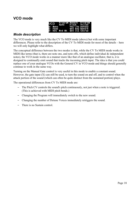# **VCO mode**



### *Mode description*

The VCO mode is very much like the CV To MIDI mode (above) but with some important differences. Please refer to the description of the CV To MIDI mode for most of the details – here we will only highlight what differs.

The conceptual difference between the two modes is that, while the CV To MIDI mode works in MIDI-like terms (that is, there are note ons, and note offs, which define individual  $\&$  independent notes), the VCO mode works in a manner more like that of an analogue oscillator, that is, it is designed to continually emit sound that tracks the incoming pitch input. The idea is that you could replace one of your analogue VCOs with the General CV in VCO mode and things should generally continue to work in the same way.

Turning on the Manual Gate control is very useful in this mode to enable a constant sound. However, the gate input  $(X)$  can still be used, to turn the sound on and off, and to control when the attack portion of the sound (which can often be quite distinct from the sustained portion) plays.

The operational differences from CV To MIDI mode are:

- The Pitch CV controls the sound's pitch continuously, not just when a note is triggered. (This is achieved with MIDI pitch bends.)
- Changing the Program will immediately switch to the new sound.
- Changing the number of Detune Voices immediately retriggers the sound.
- There is no Sustain control.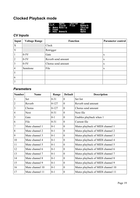# **Clocked Playback mode**

# *CV Inputs*

| <b>Input</b>   | <b>Voltage Range</b> | <b>Function</b>    | <b>Parameter control</b> |
|----------------|----------------------|--------------------|--------------------------|
| X              |                      | Clock              |                          |
| Y              |                      | Retrigger          |                          |
| 1              | $0-5V$               | Gate               | X                        |
| $\overline{2}$ | $0-5V$               | Reverb send amount | X                        |
| $\overline{3}$ | $0-5V$               | Chorus send amount | X                        |
| $\overline{4}$ | Semitone             | File               | X                        |
| 5              |                      |                    |                          |
| 6              |                      |                    |                          |
| 7              |                      |                    |                          |

# *Parameters*

| <b>Number</b>  | <b>Name</b>     | Range     | <b>Default</b> | <b>Description</b>                |
|----------------|-----------------|-----------|----------------|-----------------------------------|
|                | Set             | $0 - 31$  | $\theta$       | Set list                          |
| $\overline{2}$ | Reverb          | $0 - 127$ | $\overline{0}$ | Reverb send amount                |
| $\overline{3}$ | Chorus          | $0 - 127$ | $\overline{0}$ | Chorus send amount                |
| $\overline{4}$ | <b>Next</b>     | $0 - 31$  | $\overline{0}$ | Next file                         |
| 5              | Gate            | $0 - 1$   | $\overline{0}$ | Enables playback when 1           |
| 6              | File            | $0 - 31$  | $\overline{0}$ | Current file                      |
| 7              | Mute channel 1  | $0 - 1$   | $\overline{0}$ | Mutes playback of MIDI channel 1  |
| 8              | Mute channel 2  | $0 - 1$   | $\overline{0}$ | Mutes playback of MIDI channel 2  |
| 9              | Mute channel 3  | $0 - 1$   | $\overline{0}$ | Mutes playback of MIDI channel 3  |
| 10             | Mute channel 4  | $0 - 1$   | $\overline{0}$ | Mutes playback of MIDI channel 4  |
| 11             | Mute channel 5  | $0 - 1$   | $\overline{0}$ | Mutes playback of MIDI channel 5  |
| 12             | Mute channel 6  | $0 - 1$   | $\overline{0}$ | Mutes playback of MIDI channel 6  |
| 13             | Mute channel 7  | $0 - 1$   | $\overline{0}$ | Mutes playback of MIDI channel 7  |
| 14             | Mute channel 8  | $0 - 1$   | $\overline{0}$ | Mutes playback of MIDI channel 8  |
| 15             | Mute channel 9  | $0 - 1$   | $\overline{0}$ | Mutes playback of MIDI channel 9  |
| 16             | Mute channel 10 | $0 - 1$   | $\overline{0}$ | Mutes playback of MIDI channel 10 |
| 17             | Mute channel 11 | $0 - 1$   | $\overline{0}$ | Mutes playback of MIDI channel 11 |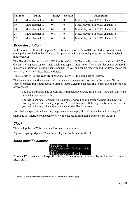| Number | <b>Name</b>     | Range   | <b>Default</b> | <b>Description</b>                |
|--------|-----------------|---------|----------------|-----------------------------------|
| 18     | Mute channel 12 | $0 - 1$ |                | Mutes playback of MIDI channel 12 |
| 19     | Mute channel 13 | $0 - 1$ |                | Mutes playback of MIDI channel 13 |
| 20     | Mute channel 14 | $0 - 1$ |                | Mutes playback of MIDI channel 14 |
| 21     | Mute channel 15 | $0 - 1$ |                | Mutes playback of MIDI channel 15 |
| 22     | Mute channel 16 | $0 - 1$ | 0              | Mutes playback of MIDI channel 16 |

# *Mode description*

In this mode, the General CV plays MIDI files stored on a Micro SD card. It does so in time with a clock pulse provided to the 'X' input. (For playback without a clock pulse, see the 'Free Playback' mode below.)

The files should be in standard MIDI file format<sup>[2](#page-19-0)</sup> – such files usually have the extension '.mid'. The General CV supports type 0 (single track) and type 1 (multi-track) files. Such files can be authored in many applications, including some popular DAWs, and can be readily found for download on the Internet (for example [here,](http://www.markheadrick.com/midi.php) [here,](http://www.midiworld.com/) and [here\)](https://groovemonkee.com/pages/free-midi-loops).

Up to 32 sets of 32 files each are supported. See 'MIDI file organisation', below.

The launch of a new file is quantized to a musically meaningful position in the current file, to enable seamless transitions between various loops. Selecting the next file to play can be done in one of two ways:

- The File parameter. The chosen file is immediately queued for playing. (Note that this is the parameter exposed as a CV.)
- The Next parameter. Changing this parameter does not immediately queue up a new file; this only takes place when you press 'D'. This lets you scroll through the files to find the one you want without accidentally queueing all the files in between.

Note that changing the set also only happens after changing the Set parameter and pressing 'D'.

Changing set interrupts playback briefly while the set information is cached from the card.

# *Clock*

The clock pulse on 'X' is interpreted as quarter note timing.

A positive-going edge on 'Y' resets the playback to the start of the file.

# *Mode-specific display*



Pressing 'D' activates a mode-specific display. This shows the currently playing file, and the queued file, if any.

<span id="page-19-0"></span><sup>2</sup> There's a useful technical description of the MIDI file format [here.](https://www.csie.ntu.edu.tw/~r92092/ref/midi/)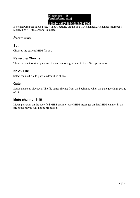

If not showing the queued file, it shows activity on the 16 MIDI channels. A channel's number is replaced by '-' if the channel is muted.

# *Parameters*

### **Set**

Chooses the current MIDI file set.

### **Reverb & Chorus**

These parameters simply control the amount of signal sent to the effects processors.

# **Next / File**

Select the next file to play, as described above.

### **Gate**

Starts and stops playback. The file starts playing from the beginning when the gate goes high (value of 1).

### **Mute channel 1-16**

Mutes playback on the specified MIDI channel. Any MIDI messages on that MIDI channel in the file being played will not be processed.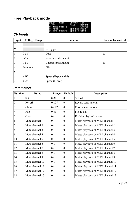# **Free Playback mode**

|  | <b>ESE REFERENCES</b><br>File Reverb                                                              |        |
|--|---------------------------------------------------------------------------------------------------|--------|
|  | A: Menu Retrig – – – Choru<br>B: Page – – – – Spd Exp File<br><u>E: Key Reverb – Spd Lin Gate</u> | Chorus |
|  |                                                                                                   |        |

# *CV Inputs*

| Input          | <b>Voltage Range</b> | <b>Function</b>     | <b>Parameter control</b> |
|----------------|----------------------|---------------------|--------------------------|
| X              |                      |                     |                          |
| Y              |                      | Retrigger           |                          |
|                | $0-5V$               | Gate                | $\mathbf X$              |
| $\overline{2}$ | $0-5V$               | Reverb send amount  | X                        |
| 3              | $0-5V$               | Chorus send amount  | $\mathbf{X}$             |
| $\overline{4}$ | Semitone             | File                | $\mathbf{x}$             |
| 5              |                      |                     |                          |
| 6              | $\pm 5V$             | Speed (Exponential) |                          |
| 7              | $\pm 5V$             | Speed (Linear)      |                          |

# *Parameters*

| <b>Number</b>  | <b>Name</b>     | Range     | <b>Default</b>   | <b>Description</b>                |
|----------------|-----------------|-----------|------------------|-----------------------------------|
| 1              | Set             | $0 - 31$  | $\theta$         | Set list                          |
| $\overline{2}$ | Reverb          | $0 - 127$ | $\overline{0}$   | Reverb send amount                |
| 3              | Chorus          | $0 - 127$ | $\boldsymbol{0}$ | Chorus send amount                |
| $\overline{4}$ | File            | $0 - 31$  | $\overline{0}$   | File to play                      |
| 5              | Gate            | $0 - 1$   | $\boldsymbol{0}$ | Enables playback when 1           |
| 6              | Mute channel 1  | $0 - 1$   | $\overline{0}$   | Mutes playback of MIDI channel 1  |
| 7              | Mute channel 2  | $0 - 1$   | $\theta$         | Mutes playback of MIDI channel 2  |
| 8              | Mute channel 3  | $0 - 1$   | $\overline{0}$   | Mutes playback of MIDI channel 3  |
| 9              | Mute channel 4  | $0 - 1$   | $\boldsymbol{0}$ | Mutes playback of MIDI channel 4  |
| 10             | Mute channel 5  | $0 - 1$   | $\overline{0}$   | Mutes playback of MIDI channel 5  |
| 11             | Mute channel 6  | $0 - 1$   | $\theta$         | Mutes playback of MIDI channel 6  |
| 12             | Mute channel 7  | $0 - 1$   | $\theta$         | Mutes playback of MIDI channel 7  |
| 13             | Mute channel 8  | $0 - 1$   | $\theta$         | Mutes playback of MIDI channel 8  |
| 14             | Mute channel 9  | $0 - 1$   | $\overline{0}$   | Mutes playback of MIDI channel 9  |
| 15             | Mute channel 10 | $0 - 1$   | $\overline{0}$   | Mutes playback of MIDI channel 10 |
| 16             | Mute channel 11 | $0 - 1$   | $\overline{0}$   | Mutes playback of MIDI channel 11 |
| 17             | Mute channel 12 | $0 - 1$   | $\overline{0}$   | Mutes playback of MIDI channel 12 |
| 18             | Mute channel 13 | $0 - 1$   | $\mathbf{0}$     | Mutes playback of MIDI channel 13 |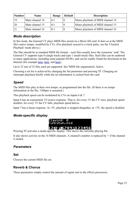| <b>Number</b> | <b>Name</b>     | Range   | <b>Default</b> | <b>Description</b>                |
|---------------|-----------------|---------|----------------|-----------------------------------|
| 19            | Mute channel 14 | $0-1$   |                | Mutes playback of MIDI channel 14 |
| 20            | Mute channel 15 | $0-1$   |                | Mutes playback of MIDI channel 15 |
|               | Mute channel 16 | $0 - 1$ |                | Mutes playback of MIDI channel 16 |

# *Mode description*

In this mode, the General CV plays MIDI files stored on a Micro SD card. It does so at the MIDI file's native tempo, modified by CVs. (For playback synced to a clock pulse, see the 'Clocked Playback' mode above.)

The files should be in standard MIDI file format – such files usually have the extension '.mid'. The General CV supports type 0 (single track) and type 1 (multi-track) files. Such files can be authored in many applications, including some popular DAWs, and can be readily found for download on the Internet (for example [here,](http://www.markheadrick.com/midi.php) [here,](http://www.midiworld.com/) and [here\)](https://groovemonkee.com/pages/free-midi-loops).

Up to 32 sets of 32 files each are supported. See 'MIDI file organisation', below.

Choosing a set list is achieved by changing the Set parameter and pressing 'D'. Changing set interrupts playback briefly while the set information is cached from the card.

# *Speed*

The MIDI files play at their own tempo, as programmed into the file. (If there is no tempo information in the file, 120bpm is assumed.)

This playback speed can be modulated by CVs on inputs 6 & 7.

Input 6 has an exponential 1V/octave response. That is, for every 1V the CV rises, playback speed doubles; for every 1V the CV falls, playback speed halves.

Input 7 has a linear response. At -5V, playback is stopped altogether; at +5V, the speed is doubled.

# *Mode-specific display*



Pressing 'D' activates a mode-specific display. This shows the currently playing file.

It also shows activity on the 16 MIDI channels. A channel's number is replaced by '-' if the channel is muted.

# *Parameters*

### **Set**

Chooses the current MIDI file set.

# **Reverb & Chorus**

These parameters simply control the amount of signal sent to the effects processors.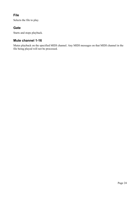# **File**

Selects the file to play.

# **Gate**

Starts and stops playback.

# **Mute channel 1-16**

Mutes playback on the specified MIDI channel. Any MIDI messages on that MIDI channel in the file being played will not be processed.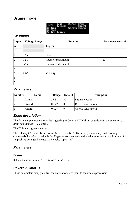# **Drums mode**

|                                     | DRM Drum Chorus Drum<br>Revent Trigger ______Reven | . Reverb |
|-------------------------------------|----------------------------------------------------|----------|
|                                     | Yel'ity Chorus                                     |          |
|                                     |                                                    |          |
| A: Henu<br>B: Page<br>E: Key Reverb |                                                    |          |

### *CV Inputs*

| <b>Input</b>   | <b>Voltage Range</b> | <b>Function</b>    | <b>Parameter control</b> |
|----------------|----------------------|--------------------|--------------------------|
| X              |                      | Trigger            |                          |
| Y              |                      |                    |                          |
|                | $0-5V$               | Drum               | X                        |
| $\overline{2}$ | $0-5V$               | Reverb send amount | X                        |
| 3              | $0-5V$               | Chorus send amount | X                        |
| 4              |                      |                    |                          |
| 5              | $\pm 5V$             | Velocity           |                          |
| 6              |                      |                    |                          |
|                |                      |                    |                          |

### *Parameters*

| Number | <b>Name</b>   | Range     | <b>Default</b> | <b>Description</b> |
|--------|---------------|-----------|----------------|--------------------|
|        | Drum          | $35 - 81$ | 35             | Drum selection     |
|        | Reverb        | $0-127$   |                | Reverb send amount |
|        | <b>Chorus</b> | $0-127$   |                | Chorus send amount |

# *Mode description*

The fairly simple mode allows the triggering of General MIDI drum sounds, with the selection of drum sound under CV control.

The 'X' input triggers the drum.

The velocity CV controls the drum's MIDI velocity. At 0V input (equivalently, with nothing connected) the velocity value is 64. Negative voltages reduce the velocity (down to a minimum of 1); positive voltages increase the velocity (up to 127).

# *Parameters*

### **Drum**

Selects the drum sound. See 'List of Drums' above.

# **Reverb & Chorus**

These parameters simply control the amount of signal sent to the effects processors.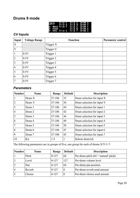# **Drums 9 mode**

|                      | DR9 Trigit Trigis DrumiX<br>DR9 TrigiX Trigit DrumiY |  |
|----------------------|------------------------------------------------------|--|
|                      |                                                      |  |
|                      | <u>A: Menu TrigʻŸ Trigʻ5 Drum 1,</u>                 |  |
| <b>CENTRE COMPUT</b> | Trià 6 Drum 2                                        |  |
|                      | lê: Kêýî Tria 2 - Triá 7 - Drum 3                    |  |

# *CV Inputs*

| <b>Input</b>   | <b>Voltage Range</b> | <b>Function</b> | <b>Parameter control</b> |
|----------------|----------------------|-----------------|--------------------------|
| $\vert$ X      |                      | Trigger X       |                          |
| Y              |                      | Trigger Y       |                          |
| $\mathbf{1}$   | $0-5V$               | Trigger 1       |                          |
| $\overline{2}$ | $0-5V$               | Trigger 2       |                          |
| $\overline{3}$ | $0-5V$               | Trigger 3       |                          |
| $\overline{4}$ | $0-5V$               | Trigger 4       |                          |
| 5              | $0-5V$               | Trigger 5       |                          |
| 6              | $0-5V$               | Trigger 6       |                          |
| 7              | $0-5V$               | Trigger 7       |                          |

# *Parameters*

| <b>Number</b>  | <b>Name</b> | Range  | <b>Default</b> | <b>Description</b>         |
|----------------|-------------|--------|----------------|----------------------------|
|                | Drum X      | 27-106 | 35             | Drum selection for input X |
| $\overline{2}$ | Drum Y      | 27-106 | 38             | Drum selection for input Y |
| 3              | Drum 1      | 27-106 | 44             | Drum selection for input 1 |
| $\overline{4}$ | Drum 2      | 27-106 | 42             | Drum selection for input 2 |
| 5              | Drum 3      | 27-106 | 46             | Drum selection for input 3 |
| 6              | Drum 4      | 27-106 | 49             | Drum selection for input 4 |
| 7              | Drum 5      | 27-106 | 50             | Drum selection for input 5 |
| 8              | Drum 6      | 27-106 | 47             | Drum selection for input 6 |
| 9              | Drum 7      | 27-106 | 45             | Drum selection for input 7 |
| 10             | Kit         | $1-5$  |                | Selects drum kit           |

The following parameters are in groups of five, one group for each of drums X/Y/1-7:

| Number         | <b>Name</b> | Range   | <b>Default</b> | <b>Description</b>                      |
|----------------|-------------|---------|----------------|-----------------------------------------|
|                | Pitch       | $0-127$ | 64             | Per-drum pitch $(64 =$ 'natural' pitch) |
| $\overline{2}$ | Level       | $0-127$ | 127            | Per-drum volume level                   |
| 3              | Pan         | $0-127$ | 64             | Per-drum pan position                   |
| $\overline{4}$ | Reverb      | $0-127$ | $\theta$       | Per-drum reverb send amount             |
|                | Chorus      | $0-127$ | 0              | Per-drum chorus send amount             |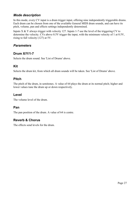# *Mode description*

In this mode, every CV input is a drum trigger input, offering nine independently triggerable drums. Each drum can be chosen from one of the available General MIDI drum sounds, and can have its pitch, volume, pan and effects settings independently determined.

Inputs  $X & Y$  always trigger with velocity 127. Inputs 1-7 use the level of the triggering CV to determine the velocity. CVs above 0.5V trigger the input, with the minimum velocity of 1 at 0.5V, rising to full velocity (127) at 5V.

# *Parameters*

# **Drum X/Y/1-7**

Selects the drum sound. See 'List of Drums' above.

### **Kit**

Selects the drum kit, from which all drum sounds will be taken. See 'List of Drums' above.

# **Pitch**

The pitch of the drum, in semitones. A value of 64 plays the drum at its normal pitch; higher and lower values tune the drum up or down respectively.

# **Level**

The volume level of the drum.

# **Pan**

The pan position of the drum. A value of 64 is centre.

# **Reverb & Chorus**

The effects send levels for the drum.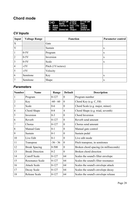# **Chord mode**



# *CV Inputs*

| Input                     | <b>Voltage Range</b> | <b>Function</b>   | <b>Parameter control</b> |
|---------------------------|----------------------|-------------------|--------------------------|
| $\boldsymbol{\mathrm{X}}$ |                      | Gate              |                          |
| Y                         |                      | Sustain           | X                        |
|                           | $0-5V$               | Program           | X                        |
| $\overline{2}$            | $0-5V$               | Inversion         | X                        |
| 3                         | $0-5V$               | Scale             | X                        |
| $\overline{4}$            | $\pm 5V$             | Pitch (1V/octave) |                          |
| 5                         | ±5V                  | Velocity          |                          |
| 6                         | Semitone             | Key               | X                        |
| 7                         | Semitone             | Shape             | X                        |

# *Parameters*

| <b>Number</b>  | <b>Name</b>            | Range      | <b>Default</b>   | <b>Description</b>                     |
|----------------|------------------------|------------|------------------|----------------------------------------|
|                | Program                | $0 - 127$  | $\overline{0}$   | Program number                         |
| $\overline{2}$ | Key                    | $-60 - 60$ | $\overline{0}$   | Chord Key (e.g. $C, F\sharp$ )         |
| 3              | Scale                  | $0 - 6$    | $\overline{0}$   | Chord Scale (e.g. major, minor)        |
| $\overline{4}$ | Chord Shape            | $0 - 8$    | $\overline{4}$   | Chord Shape (e.g. triad, seventh)      |
| 5              | Inversion              | $0 - 3$    | $\overline{0}$   | Chord Inversion                        |
| 6              | Reverb                 | $0 - 127$  | $\overline{0}$   | Reverb send amount                     |
| 7              | Chorus                 | $0 - 127$  | $\overline{0}$   | Chorus send amount                     |
| 8              | Manual Gate            | $0 - 1$    | $\boldsymbol{0}$ | Manual gate control                    |
| 9              | Sustain                | $0 - 1$    | $\overline{0}$   | Sustain pedal                          |
| 10             | Live Edit              | $0 - 1$    | $\overline{0}$   | Live edit mode                         |
| 11             | Transpose              | $-36 - 36$ | $\overline{0}$   | Pitch transpose, in semitones          |
| 12             | <b>Break Spacing</b>   | $0 - 500$  | $\theta$         | Broken chord spacing (in milliseconds) |
| 13             | <b>Break Direction</b> | $0 - 2$    | $\overline{0}$   | Broken chord direction                 |
| 14             | <b>Cutoff Scale</b>    | $0 - 127$  | 64               | Scales the sound's filter envelope     |
| 15             | <b>Resonance Scale</b> | $0 - 127$  | 64               | Scales the sound's filter resonance    |
| 16             | <b>Attack Scale</b>    | $0 - 127$  | 64               | Scales the sound's envelope attack     |
| 17             | Decay Scale            | $0 - 127$  | 64               | Scales the sound's envelope decay      |
| 18             | <b>Release Scale</b>   | $0 - 127$  | 64               | Scales the sound's envelope release    |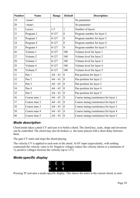| <b>Number</b> | <b>Name</b>   | Range      | <b>Default</b>   | <b>Description</b>                    |
|---------------|---------------|------------|------------------|---------------------------------------|
| 19            | <none></none> |            |                  | No parameter                          |
| 20            | $none$        |            |                  | No parameter                          |
| 21            | Layers        | $1 - 5$    | 1                | Number of layers                      |
| 22            | Program 2     | $0 - 127$  | $\boldsymbol{0}$ | Program number for layer 2            |
| 23            | Program 3     | $0 - 127$  | $\boldsymbol{0}$ | Program number for layer 3            |
| 24            | Program 4     | $0 - 127$  | $\mathbf{0}$     | Program number for layer 4            |
| 25            | Program 5     | $0 - 127$  | $\overline{0}$   | Program number for layer 5            |
| 26            | Volume 1      | $0 - 127$  | 100              | Volume level for layer 1              |
| 27            | Volume 2      | $0 - 127$  | 100              | Volume level for layer 2              |
| 28            | Volume 3      | $0 - 127$  | 100              | Volume level for layer 3              |
| 29            | Volume 4      | $0 - 127$  | 100              | Volume level for layer 4              |
| 30            | Volume 5      | $0 - 127$  | 100              | Volume level for layer 5              |
| 31            | Pan 1         | $-64 - 63$ | $\overline{0}$   | Pan position for layer 1              |
| 32            | Pan 2         | $-64 - 63$ | $\overline{0}$   | Pan position for layer 2              |
| 33            | Pan 3         | $-64 - 63$ | $\mathbf{0}$     | Pan position for layer 3              |
| 34            | Pan 4         | $-64 - 63$ | $\overline{0}$   | Pan position for layer 4              |
| 35            | Pan 5         | $-64 - 63$ | $\overline{0}$   | Pan position for layer 5              |
| 36            | Coarse tune 1 | $-64 - 63$ | $\overline{0}$   | Coarse tuning (semitones) for layer 1 |
| 37            | Coarse tune 2 | $-64 - 63$ | $\overline{0}$   | Coarse tuning (semitones) for layer 2 |
| 38            | Coarse tune 3 | $-64 - 63$ | $\mathbf{0}$     | Coarse tuning (semitones) for layer 3 |
| 39            | Coarse tune 4 | $-64 - 63$ | $\boldsymbol{0}$ | Coarse tuning (semitones) for layer 4 |
| 40            | Coarse tune 5 | $-64 - 63$ | $\boldsymbol{0}$ | Coarse tuning (semitones) for layer 5 |

# *Mode description*

Chord mode takes a pitch CV and uses it to build a chord. The chord key, scale, shape and inversion can be controlled. The chord may also be broken i.e. the notes played with a short delay between them.

The gate CV starts and stops the chord playing.

The velocity CV is applied to each note in the chord. At 0V input (equivalently, with nothing connected) the velocity value is 64. Negative voltages reduce the velocity (down to a minimum of 1); positive voltages increase the velocity (up to 127).

# *Mode-specific display*



Pressing 'D' activates a mode-specific display. This shows the notes in the current chord, as note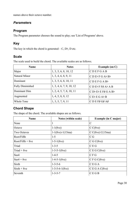names above their octave number.

# *Parameters*

# **Program**

The Program parameter chooses the sound to play; see 'List of Programs' above.

# **Key**

The key in which the chord is generated – C,  $D\flat$ , D etc.

# **Scale**

The scale used to build the chord. The available scales are as follows.

| <b>Name</b>             | <b>Notes</b>             | <b>Example (on C)</b>     |
|-------------------------|--------------------------|---------------------------|
| Major                   | 1, 3, 5, 6, 8, 10, 12    | CDEFGAB                   |
| Natural Minor           | 1, 3, 4, 6, 8, 9, 11     | CDEbFGAbBb                |
| Dominant                | 1, 3, 5, 6, 8, 10, 11    | $C$ DEFGABb               |
| <b>Fully Diminished</b> | 1, 3, 4, 6, 7, 9, 10, 12 | $CDEb$ F $F\sharp$ Ab A B |
| Dominant Dim            | 1, 2, 4, 5, 7, 8, 10, 11 | $CDbEbEF\sharp GABb$      |
| Augmented               | 1, 4, 5, 8, 9, 12        | C E b E G A b B           |
| Whole Tone              | 1, 3, 5, 7, 9, 11        | CDEF#G#A#                 |

# **Chord Shape**

The shape of the chord. The available shapes are as follows.

| <b>Name</b>        | Notes (within scale)  | <b>Example (in C major)</b> |
|--------------------|-----------------------|-----------------------------|
| None               | 1                     | $\mathcal{C}$               |
| Octave             | $1 - 1(8ve)$          | C C(8ve)                    |
| <b>Two Octaves</b> | $1-1(8ve)-1(15ma)$    | C C(8ve) C(15ma)            |
| Root/Fifth         | $1 - 5$               | C <sub>G</sub>              |
| $Root/Fifth + 8ve$ | $1-5-1(8ve)$          | C G C(8ve)                  |
| Triad              | $1 - 3 - 5$           | C E G                       |
| $Triad + 8ve$      | $1 - 3 - 5 - 1(8$ ve) | C E G C(8ve)                |
| Sus4               | $1 - 4 - 5$           | C F G                       |
| $Sus4 + 8ve$       | $1-4-5-1(8ve)$        | CFGC(8ve)                   |
| Sixth              | $1 - 3 - 5 - 6$       | <b>CEGA</b>                 |
| $Sixth + 8ve$      | $1-3-5-6-1(8ve)$      | C E G A C(8ve)              |
| Seventh            | $1 - 3 - 5 - 7$       | <b>CEGB</b>                 |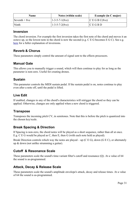| <b>Name</b>   | Notes (within scale)      | <b>Example (in C major)</b>                           |
|---------------|---------------------------|-------------------------------------------------------|
| Seventh + 8ve | $1 - 3 - 5 - 7 - 1(8$ ve) | $\overline{C}$ E G B C(8ve)                           |
| Ninth         | $1 - 3 - 5 - 7 - 2(8v_e)$ | $\mathsf{IC}\,E\,\mathsf{G}\, \mathsf{B}\,\mathsf{D}$ |

### **Inversion**

The chord inversion. For example the first inversion takes the first note of the chord and moves it an octave up, so the lowest note in the chord is now the second (e.g. C E G becomes E G C). See e.g. [here](https://en.wikipedia.org/wiki/Inversion_(music)#Inversions) for a fuller explanation of inversions.

# **Reverb & Chorus**

These parameters simply control the amount of signal sent to the effects processors.

### **Manual Gate**

This allows you to manually trigger a sound, which will then continue to play for as long as the parameter is non-zero. Useful for creating drones.

### **Sustain**

This parameter controls the MIDI sustain pedal. If the sustain pedal is on, notes continue to play even after a note off, until the pedal is lifted.

### **Live Edit**

If enabled, changes to any of the chord's characteristics will retrigger the chord so they can be applied. Otherwise, changes are only applied when a new chord is triggered.

### **Transpose**

Transposes the incoming pitch CV, in semitones. Note that this is before the pitch is quantized into the chosen key/scale.

# **Break Spacing & Direction**

If Spacing is non-zero, the chord notes will be played as a short sequence, rather than all at once. E.g. C E G would be played as C, then E, then G (with each note held as played).

Break Direction controls which way the notes are played – up (C E G), down (G E C), or alternately up & down (not unlike strumming a guitar).

# **Cutoff & Resonance Scale**

These parameters scale the sound's time-variant filter's cutoff and resonance (Q). At a value of 64 the sound is as-programmed.

# **Attack, Decay & Release Scale**

These parameters scale the sound's amplitude envelope's attack, decay and release times. At a value of 64 the sound is as-programmed.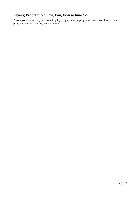# **Layers; Program, Volume, Pan, Coarse tune 1-5**

A composite sound may be formed by layering up several programs. Each layer has its own program number, volume, pan and tuning.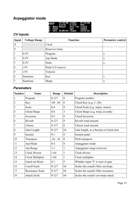# **Arpeggiator mode**

| <b>ARP</b> | <u>Program Scale –</u> |                   | Program                                                           |
|------------|------------------------|-------------------|-------------------------------------------------------------------|
|            |                        | 'Clock Piłch Key' |                                                                   |
|            | IA: Henu Reset -       | , Vel'ity Scale   |                                                                   |
|            |                        |                   |                                                                   |
|            |                        |                   | B: Page – – Rey – Shape<br><u>B: Rey ArpMode Shape – Inversny</u> |

# *CV Inputs*

| Input          | <b>Voltage Range</b> | <b>Function</b>   | <b>Parameter control</b> |
|----------------|----------------------|-------------------|--------------------------|
| X              |                      | Clock             |                          |
| Y              |                      | Reset (or Gate)   |                          |
| $\mathbf 1$    | $0-5V$               | Program           | $\mathbf{X}$             |
| $\overline{2}$ | $0-5V$               | Arp Mode          | X                        |
| 3              | $0-5V$               | Scale             | $\mathbf{X}$             |
| $\overline{4}$ | $\pm 5V$             | Pitch (1V/octave) |                          |
| 5              | $\pm 5V$             | Velocity          |                          |
| 6              | Semitone             | Key               | $\mathbf{X}$             |
| 7              | Semitone             | Shape             | X                        |

# *Parameters*

| <b>Number</b>  | <b>Name</b>          | Range      | <b>Default</b>   | Description                              |
|----------------|----------------------|------------|------------------|------------------------------------------|
| 1              | Program              | $0 - 127$  | $\theta$         | Program number                           |
| $\overline{2}$ | Key                  | $-60 - 60$ | $\boldsymbol{0}$ | Chord Key (e.g. $C, F\sharp$ )           |
| 3              | Scale                | $0 - 6$    | $\overline{0}$   | Chord Scale (e.g. major, minor)          |
| $\overline{4}$ | Chord Shape          | $0 - 8$    | 3                | Chord Shape (e.g. triad, seventh)        |
| 5              | Inversion            | $0 - 3$    | $\overline{0}$   | Chord Inversion                          |
| 6              | Reverb               | $0 - 127$  | $\overline{0}$   | Reverb send amount                       |
| 7              | Chorus               | $0 - 127$  | $\theta$         | Chorus send amount                       |
| 8              | Gate Length          | $0 - 127$  | 64               | Gate length, as a fraction of clock time |
| 9              | Sustain              | $0 - 1$    | $\theta$         | Sustain pedal                            |
| 10             | Transpose            | $-36 - 36$ | $\overline{0}$   | Pitch transpose                          |
| 11             | Arp Mode             | $0 - 4$    | $\theta$         | Arpeggiator mode                         |
| 12             | Arp Range            | $1-3$      | 1                | Arpeggiator range (octaves)              |
| 13             | <b>Clock Divisor</b> | $1 - 64$   | 1                | Clock divisor                            |
| 14             | Clock Multiplier     | $1-64$     | 1                | Clock multiplier                         |
| 15             | Gated not Reset      | $0 - 1$    | $\overline{0}$   | Whether input 'Y' is reset or gate       |
| 16             | <b>Cutoff Scale</b>  | $0 - 127$  | 64               | Scales the sound's filter envelope       |
| 17             | Resonance Scale      | $0 - 127$  | 64               | Scales the sound's filter resonance      |
| 18             | <b>Attack Scale</b>  | $0 - 127$  | 64               | Scales the sound's envelope attack       |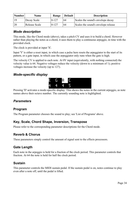| Number | <b>Name</b>   | Range   | <b>Default</b> | <b>Description</b>                  |
|--------|---------------|---------|----------------|-------------------------------------|
| .19    | Decay Scale   | $0-127$ | 64             | Scales the sound's envelope decay   |
| 20     | Release Scale | $0-127$ | 64             | Scales the sound's envelope release |

### *Mode description*

This mode, like the Chord mode (above), takes a pitch CV and uses it to build a chord. However rather than playing the notes as a chord, it uses them to play a continuous arpeggio, in time with the provided clock.

The clock is provided at input 'X'.

Input 'Y' is either a reset input, in which case a pulse here resets the arpeggiator to the start of its pattern, or a gate input, in which case the arpeggiator only runs when the gate is high.

The velocity CV is applied to each note. At 0V input (equivalently, with nothing connected) the velocity value is 64. Negative voltages reduce the velocity (down to a minimum of 1); positive voltages increase the velocity (up to 127).

# *Mode-specific display*



Pressing 'D' activates a mode-specific display. This shows the notes in the current arpeggio, as note names above their octave number. The currently sounding note is highlighted.

# *Parameters*

### **Program**

The Program parameter chooses the sound to play; see 'List of Programs' above.

# **Key, Scale, Chord Shape, Inversion, Transpose**

Please refer to the corresponding parameter descriptions for the Chord mode.

# **Reverb & Chorus**

These parameters simply control the amount of signal sent to the effects processors.

# **Gate Length**

Each note in the arpeggio is held for a fraction of the clock period. This parameter controls that fraction. At 64 the note is held for half the clock period.

# **Sustain**

This parameter controls the MIDI sustain pedal. If the sustain pedal is on, notes continue to play even after a note off, until the pedal is lifted.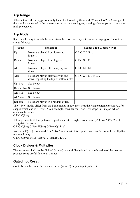# **Arp Range**

When set to 1, the arpeggio is simply the notes formed by the chord. When set to 2 or 3, a copy of the chord is appended to the pattern, one or two octaves higher, creating a longer pattern that spans multiple octaves.

# **Arp Mode**

Specifies the way in which the notes from the chord are played to create an arpeggio. The options are as follows:

| <b>Name</b>              | <b>Behaviour</b>                                                                 | <b>Example (on C major triad)</b> |
|--------------------------|----------------------------------------------------------------------------------|-----------------------------------|
| Up                       | Notes are played from lowest to<br>highest.                                      | CEGCEG                            |
| Down                     | Notes are played from highest to<br>lowest.                                      | GECGEC                            |
| Alt                      | Notes are played alternately up and<br>down.                                     | CEGECEG                           |
| Alt <sub>2</sub>         | Notes are played alternately up and<br>down, repeating the top $&$ bottom notes. | $CEGGECCEG$                       |
| $Up -8ve$                | See below.                                                                       |                                   |
| Down -8ve See below.     |                                                                                  |                                   |
| Alt -8ve                 | See below.                                                                       |                                   |
| Alt <sub>2</sub> -8 $ve$ | See below.                                                                       |                                   |
| Random                   | Notes are played in a random order.                                              |                                   |

The "-8ve" modes differ from the basic modes in how they treat the Range parameter (above), for shapes which end in "+8ve". As an example, consider the Triad+8ve shape in C major, which contains the notes:

### C E G C(8ve)

If Range is set to 2, this pattern is repeated an octave higher, so modes Up/Down/Alt/Alt2 will arpeggiate the notes:

C E G C(8ve) C(8ve) E(8ve) G(8ve) C(15ma)

Note how C(8ve) is repeated. The "-8ve" modes skip this repeated note, so for example the Up-8ve mode will play:

C E G C(8ve) E(8ve) G(8ve) C(15ma) C E G ...

# **Clock Divisor & Multiplier**

The incoming clock can be divided (slower) or multiplied (faster). A combination of the two can produce some useful fractional timings.

# **Gated not Reset**

Controls whether input 'Y' is a reset input (value 0) or gate input (value 1).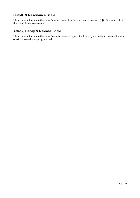# **Cutoff & Resonance Scale**

These parameters scale the sound's time-variant filter's cutoff and resonance (Q). At a value of 64 the sound is as-programmed.

# **Attack, Decay & Release Scale**

These parameters scale the sound's amplitude envelope's attack, decay and release times. At a value of 64 the sound is as-programmed.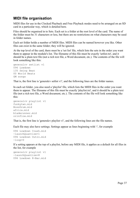# **MIDI file organisation**

MIDI files for use in the Clocked Playback and Free Playback modes need to be arranged on an SD card in a particular way, which is detailed here.

Files should be organised in to Sets. Each set is a folder at the root level of the card. The name of the folder must be 31 characters or less, but there are no restrictions on what characters may be used in folder names.

Each set folder holds a number of MIDI files. MIDI files can be named however you like. Other files can exist in the same folder; they will be ignored.

At the top level of the card, there must be a 'set list' file, which lists the sets in the order you want them to appear in the module's list. The filename of this file must be exactly 'setlist.txt', and it should be a plain text file (not a rich text file, a Word document, etc.). The contents of the file will look something like this:

```
generalcv setlist v1
096 Lowdown
135 Swing Beat
00 World Beats
GM songs
```
That is, the first line is 'generalcv setlist v1', and the following lines are the folder names.

In each set folder, you also need a 'playlist' file, which lists the MIDI files in the order you want them to appear. The filename of this file must be exactly 'playlist.txt', and it should be a plain text file (not a rich text file, a Word document, etc.). The contents of the file will look something like this:

```
generalcv playlist v1
funkytwn.mid
BossDrum.mid
africa.mid
bladerunner.mid
orinflow.mid
```
That is, the first line is 'generalcv playlist v1', and the following lines are the file names.

Each file may also have settings. Settings appear as lines beginning with '-', for example

```
096 Lowdown Crash.mid
-launchQuantize=1
096 Lowdown Outro.mid
-loop=0
```
If a setting appears at the top of a playlist, before any MIDI file, it applies as a default for all files in the list, for example

```
generalcv playlist v1
-launchQuantize=8
096 Lowdown 8-Bar.mid
```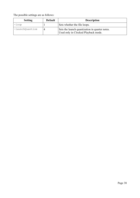The possible settings are as follows:

| <b>Setting</b>  | <b>Default</b> | <b>Description</b>                                                                    |
|-----------------|----------------|---------------------------------------------------------------------------------------|
| $-I$ oop        |                | Sets whether the file loops.                                                          |
| -launchQuantize |                | Sets the launch quantization in quarter notes.<br>Used only in Clocked Playback mode. |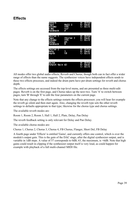# **Effects**



All modes offer two global audio effects, Reverb and Chorus, though both can in fact offer a wider range of effects than the name suggests. The synthesizer voices have independent effects sends to these two effects processes, and indeed the drum parts have per-drum settings for reverb and chorus depth.

The effects settings are accessed from the top-level menu, and are presented as three multi-edit pages. Reverb is on the first page, and Chorus takes up the next two. Turn 'A' to switch between pages; turn 'B' through 'E' to edit the four parameters on the current page.

Note that any change to the effects settings restarts the effects processor; you will hear for example the reverb go silent and then start again. Also, changing the reverb type sets the other reverb settings to defaults appropriate to that type; likewise for the chorus type and chorus settings.

The available reverb modes are:

Room 1, Room 2, Room 3, Hall 1, Hall 2, Plate, Delay, Pan Delay

The reverb feedback setting is only relevant for Delay and Pan Delay.

The available chorus modes are:

Chorus 1, Chorus 2, Chorus 3, Chorus 4, FB Chorus, Flanger, Short Del, FB Delay

A fourth page under 'Effects' is entitled 'Gains', and currently offers one control, which is over the module's output gain. This is the gain of the DAC stage, after the digital synthesizer output, and is variable in 1dB steps. A value of 57 corresponds to 0dB; 63, the maximum, is +6dB. Note that high gains could result in clipping if the synthesizer output itself is very loud, as could happen for example with playback of a full multi-channel MIDI file.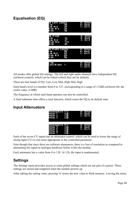# **Equalisation (EQ)**



All modes offer global EQ settings. The left and right audio channels have independent EQ cut/boost controls, which can be linked (which they are by default).

There are four bands of EQ: Low, Low Mid, High Mid, High

Each band's level is a number from 0 to 127, corresponding to a range of  $\pm$ 12dB cut/boost (64, the centre value, is 0dB).

The frequency at which each band operates can also be controlled.

A final submenu item offers a reset function, which resets the EQ to its default state.

# **Input Attenuators**

| ttenuators 1<br>ī<br>'i am<br>P.<br>Мī<br>- 3<br>it In | нg 3<br>ÞП<br>۶I<br>P.<br>21<br>۲ì | F<br>Ŧ,<br>к.<br>H     | C.<br>97<br>ÆП<br>l sm<br>m |
|--------------------------------------------------------|------------------------------------|------------------------|-----------------------------|
| ilianuators I<br>Ч<br>6 T T<br>П<br>DU N<br>F          | ИT.<br>œ                           | T<br>P.<br>Я<br>н<br>H | n Bra<br>H<br>-m            |

Each of the seven CV inputs has an attenuator control, which can be used to lower the range of strong input CVs to one more appropriate to the controlled parameter.

Note though that since these are software attenuators, there is a loss of resolution as compared to attenuating the signal in analogue hardware before it hits the module.

Each attenuator has a value from 0 to 128. At 128, the input is unattenuated.

# **Settings**

The Settings menu provides access to some global settings which are not part of a preset. These settings are stored and reapplied when the module powers up.

After editing the setting value, pressing 'A' stores the new value to flash memory. Leaving the menu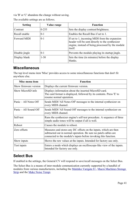via 'B' or 'C' abandons the change without saving.

| <b>Setting</b> | Value range | <b>Function</b>                                                                                                                                                 |
|----------------|-------------|-----------------------------------------------------------------------------------------------------------------------------------------------------------------|
| Contrast       | $0 - 255$   | Sets the display contrast/brightness.                                                                                                                           |
| Recall enable  | $0 - 1$     | Enables the Recall Bus if set to 1.                                                                                                                             |
| Forward MIDI   | $0 - 1$     | If set to 1, incoming MIDI from the expansion<br>header will be sent directly to the synthesizer<br>engine, instead of being processed by the module<br>itself. |
| Disable jingle | $0 - 1$     | Prevents the module playing its startup jingle.                                                                                                                 |
| Display blank  | $1 - 30$    | Sets the time (in minutes) before the display<br>blanks.                                                                                                        |

The available settings are as follows.

# **Miscellaneous**

The top level menu item 'Misc' provides access to some miscellaneous functions that don't fit anywhere else.

| Misc menu item        | <b>Function</b>                                                                                                                                                                                        |
|-----------------------|--------------------------------------------------------------------------------------------------------------------------------------------------------------------------------------------------------|
| Show firmware version | Displays the current firmware version.                                                                                                                                                                 |
| Show MicroSD info     | Displays information about the inserted MicroSD card.<br>The card format is displayed, followed by its contents. Press 'E' to<br>resume normal operation.                                              |
| Panic – All Notes Off | Sends MIDI 'All Notes Off' messages to the internal synthesizer on<br>every MIDI channel.                                                                                                              |
| Panic – All Sound Off | Sends MIDI 'All Sound Off' messages to the internal synthesizer on<br>every MIDI channel.                                                                                                              |
| Self-test             | Runs the synthesizer engine's self-test procedure. A sequence of three<br>simple audio tones will be output if all is well.                                                                            |
| Reboot                | Causes the module to reboot.                                                                                                                                                                           |
| Zero offsets          | Measures and stores any DC offsets on the inputs, which are then<br>subtracted out in normal operation. Be sure no patch cables are<br>connected to the module's inputs before invoking this function. |
| Show inputs           | Shows the raw values at the inputs. Intended for factory use only.                                                                                                                                     |
| Test inputs           | Enters a mode which displays an oscilloscope-like view of the inputs.<br>Intended for factory use only.                                                                                                |

# **Select Bus**

If enabled in the settings, the General CV will respond to save/recall messages on the Select Bus.

The Select Bus is a means of inter-module communication currently supported by a handful of modules from various manufacturers, including the [Malekko Varigate 8+,](https://malekkoheavyindustry.com/product/varigate-8/) Macro Machines Storage [Strip](http://macromachines.net/products/storage-strip/) and the [Make Noise Tempi.](http://www.makenoisemusic.com/modules/tempi)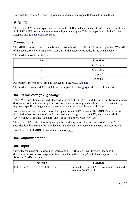Note that the General CV only responds to save/recall messages. It does not initiate them.

# **MIDI I/O**

The General CV has an expansion header on the PCB which can be used to add a pair of traditional 5-pin DIN MIDI ports to the module (one input/one output). This is compatible with the Expert Sleepers [disting mk4 MIDI breakout.](http://expert-sleepers.co.uk/dm4midibreakout.html)

# *Connections*

The MIDI ports are exposed on a 4-pin expansion header (labelled GT2) at the top of the PCB. All of the necessary electronics are on the PCB; all that needs to be added is the actual sockets.

The header pin-out is as follows:

| Pin | <b>Function</b> |
|-----|-----------------|
|     | OUT pin 4       |
|     | OUT pin 5       |
|     | IN pin $5$      |
|     | IN pin $4$      |

Pin numbers refer to the 5-pin DIN socket as in the [MIDI standard.](https://www.midi.org/specifications/item/midi-din-electrical-specification)

The header is a standard 0.1" pitch header compatible with e.g. typical IDC cable sockets.

# *MIDI "Low-Voltage Signaling"*

When MIDI was first conceived, standard logic circuits ran at 5V, and the initial hardware reference designs worked on this assumption. However, there is nothing in the MIDI standard that actually requires a specific voltage, since it operates as a current loop via an opto-isolator.

Nowadays it is much more common for logic to run at 3.3V or lower. The MIDI Manufacturers Association has now released a reference hardware design based on 3.3V, which they call the "Low-Voltage Signaling" standard, and it is this that the General CV uses.

The General CV is therefore fully compatible with any device that adheres strictly to the MIDI specification, but may not be with devices that play fast and loose with the spec and assume 5V.

Download the full MIDI electrical specification [here.](https://www.midi.org/specifications/item/midi-din-electrical-specification)

# *MIDI Implementation*

# **MIDI input**

Currently the General CV does not receive any MIDI (though it will forward incoming MIDI directly to the synthesizer engine, if this is enabled in the settings), with the exception of the following SysEx messages.

| Message                     | <b>Function</b>                                                           |
|-----------------------------|---------------------------------------------------------------------------|
| F0h 00h 21h 27h 1Ch 01h F7h | Causes the General CV to take a screenshot and<br>save it to the SD card. |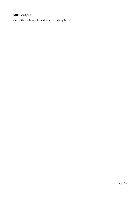# **MIDI output**

Currently the General CV does not send any MIDI.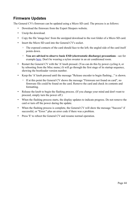# **Firmware Updates**

The General CV's firmware can be updated using a Micro SD card. The process is as follows:

- Download the firmware from the Expert Sleepers website.
- Unzip the download.
- Copy the file 'image.hex' from the unzipped download to the root folder of a Micro SD card.
- Insert the Micro SD card into the General CV's socket.
	- The exposed contacts of the card should face to the left; the angled side of the card itself points down.
	- **You are advised to observe basic ESD (electrostatic discharge) precautions** see for example [here.](http://www.computerhope.com/esd.htm) Don't be wearing a nylon sweater in an air conditioned room.
- Restart the General CV with the 'A' knob pressed. (You can do this by power cycling it, or by rebooting from the Misc menu.) It will go through the first stage of its startup sequence, showing the bootloader version number.
- Keep the 'A' knob pressed until the message "Release encoder to begin flashing..." is shown.
	- If at this point the General CV shows the message "Firmware not found on card", no firmware file could be found on the card. Remove the card and check its contents and formatting.
- Release the knob to begin the flashing process. (If you change your mind and don't want to proceed, simply turn the power off.)
- When the flashing process starts, the display updates to indicate progress. Do not remove the card or turn off the power during the update.
- When the flashing process is complete, the General CV will show the message "Success" if successful, or "Error:" plus an error code if there was a problem.
- Press 'E' to reboot the General CV and resume normal operation.